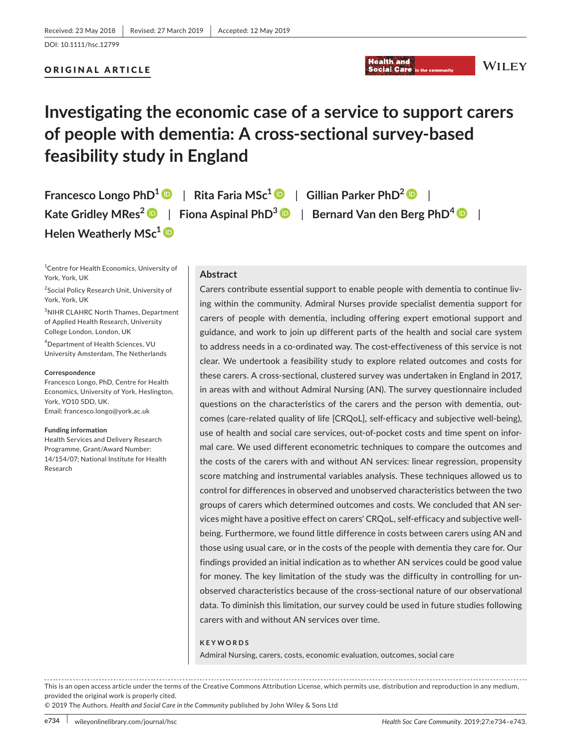### ORIGINAL ARTICLE

# **Investigating the economic case of a service to support carers of people with dementia: A cross‐sectional survey‐based feasibility study in England**

**Francesco Longo PhD1** | **Rita Faria MSc[1](https://orcid.org/0000-0003-3410-1435)** | **Gillian Parker PhD2** | **Kate Gridley MRes[2](https://orcid.org/0000-0003-1488-4516)** | **Fiona Aspinal PhD[3](https://orcid.org/0000-0003-3170-7570)** | **Bernard Van den Berg PhD<sup>4</sup>** | **Helen Weatherly MSc[1](https://orcid.org/0000-0002-9117-6452)**

<sup>1</sup> Centre for Health Economics, University of York, York, UK

<sup>2</sup> Social Policy Research Unit, University of York, York, UK

3 NIHR CLAHRC North Thames, Department of Applied Health Research, University College London, London, UK

4 Department of Health Sciences, VU University Amsterdam, The Netherlands

#### **Correspondence**

Francesco Longo, PhD, Centre for Health Economics, University of York, Heslington, York, YO10 5DD, UK. Email: [francesco.longo@york.ac.uk](mailto:francesco.longo@york.ac.uk)

#### **Funding information**

Health Services and Delivery Research Programme, Grant/Award Number: 14/154/07; National Institute for Health Research

## **Abstract**

Carers contribute essential support to enable people with dementia to continue liv‐ ing within the community. Admiral Nurses provide specialist dementia support for carers of people with dementia, including offering expert emotional support and guidance, and work to join up different parts of the health and social care system to address needs in a co‐ordinated way. The cost‐effectiveness of this service is not clear. We undertook a feasibility study to explore related outcomes and costs for these carers. A cross‐sectional, clustered survey was undertaken in England in 2017, in areas with and without Admiral Nursing (AN). The survey questionnaire included questions on the characteristics of the carers and the person with dementia, out‐ comes (care-related quality of life [CRQoL], self-efficacy and subjective well-being), use of health and social care services, out‐of‐pocket costs and time spent on infor‐ mal care. We used different econometric techniques to compare the outcomes and the costs of the carers with and without AN services: linear regression, propensity score matching and instrumental variables analysis. These techniques allowed us to control for differences in observed and unobserved characteristics between the two groups of carers which determined outcomes and costs. We concluded that AN services might have a positive effect on carers' CRQoL, self‐efficacy and subjective well‐ being. Furthermore, we found little difference in costs between carers using AN and those using usual care, or in the costs of the people with dementia they care for. Our findings provided an initial indication as to whether AN services could be good value for money. The key limitation of the study was the difficulty in controlling for un‐ observed characteristics because of the cross‐sectional nature of our observational data. To diminish this limitation, our survey could be used in future studies following carers with and without AN services over time.

**Health and** 

**Social Care** 

**WILEY** 

#### **KEYWORDS**

Admiral Nursing, carers, costs, economic evaluation, outcomes, social care

This is an open access article under the terms of the [Creative Commons Attribution](http://creativecommons.org/licenses/by/4.0/) License, which permits use, distribution and reproduction in any medium, provided the original work is properly cited.

© 2019 The Authors. *Health and Social Care in the Community* published by John Wiley & Sons Ltd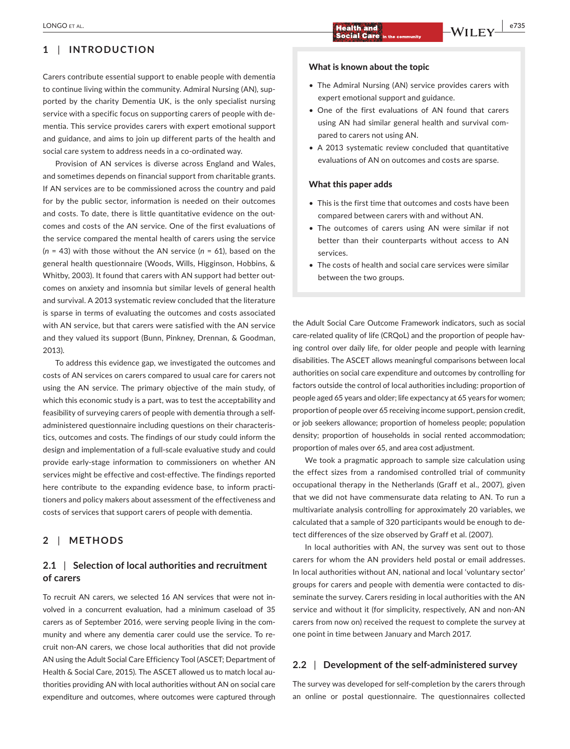## **1** | **INTRODUCTION**

Carers contribute essential support to enable people with dementia to continue living within the community. Admiral Nursing (AN), sup‐ ported by the charity Dementia UK, is the only specialist nursing service with a specific focus on supporting carers of people with de‐ mentia. This service provides carers with expert emotional support and guidance, and aims to join up different parts of the health and social care system to address needs in a co-ordinated way.

Provision of AN services is diverse across England and Wales, and sometimes depends on financial support from charitable grants. If AN services are to be commissioned across the country and paid for by the public sector, information is needed on their outcomes and costs. To date, there is little quantitative evidence on the outcomes and costs of the AN service. One of the first evaluations of the service compared the mental health of carers using the service (*n* = 43) with those without the AN service (*n* = 61), based on the general health questionnaire (Woods, Wills, Higginson, Hobbins, & Whitby, 2003). It found that carers with AN support had better outcomes on anxiety and insomnia but similar levels of general health and survival. A 2013 systematic review concluded that the literature is sparse in terms of evaluating the outcomes and costs associated with AN service, but that carers were satisfied with the AN service and they valued its support (Bunn, Pinkney, Drennan, & Goodman, 2013).

To address this evidence gap, we investigated the outcomes and costs of AN services on carers compared to usual care for carers not using the AN service. The primary objective of the main study, of which this economic study is a part, was to test the acceptability and feasibility of surveying carers of people with dementia through a self‐ administered questionnaire including questions on their characteris‐ tics, outcomes and costs. The findings of our study could inform the design and implementation of a full‐scale evaluative study and could provide early‐stage information to commissioners on whether AN services might be effective and cost-effective. The findings reported here contribute to the expanding evidence base, to inform practitioners and policy makers about assessment of the effectiveness and costs of services that support carers of people with dementia.

## **2** | **METHODS**

## **2.1** | **Selection of local authorities and recruitment of carers**

To recruit AN carers, we selected 16 AN services that were not in‐ volved in a concurrent evaluation, had a minimum caseload of 35 carers as of September 2016, were serving people living in the com‐ munity and where any dementia carer could use the service. To re‐ cruit non‐AN carers, we chose local authorities that did not provide AN using the Adult Social Care Efficiency Tool (ASCET; Department of Health & Social Care, 2015). The ASCET allowed us to match local au‐ thorities providing AN with local authorities without AN on social care expenditure and outcomes, where outcomes were captured through

- The Admiral Nursing (AN) service provides carers with expert emotional support and guidance.
- One of the first evaluations of AN found that carers using AN had similar general health and survival com‐ pared to carers not using AN.
- A 2013 systematic review concluded that quantitative evaluations of AN on outcomes and costs are sparse.

#### What this paper adds

- This is the first time that outcomes and costs have been compared between carers with and without AN.
- The outcomes of carers using AN were similar if not better than their counterparts without access to AN services.
- The costs of health and social care services were similar between the two groups.

the Adult Social Care Outcome Framework indicators, such as social care-related quality of life (CRQoL) and the proportion of people having control over daily life, for older people and people with learning disabilities. The ASCET allows meaningful comparisons between local authorities on social care expenditure and outcomes by controlling for factors outside the control of local authorities including: proportion of people aged 65 years and older; life expectancy at 65 years for women; proportion of people over 65 receiving income support, pension credit, or job seekers allowance; proportion of homeless people; population density; proportion of households in social rented accommodation; proportion of males over 65, and area cost adjustment.

We took a pragmatic approach to sample size calculation using the effect sizes from a randomised controlled trial of community occupational therapy in the Netherlands (Graff et al., 2007), given that we did not have commensurate data relating to AN. To run a multivariate analysis controlling for approximately 20 variables, we calculated that a sample of 320 participants would be enough to de‐ tect differences of the size observed by Graff et al. (2007).

In local authorities with AN, the survey was sent out to those carers for whom the AN providers held postal or email addresses. In local authorities without AN, national and local 'voluntary sector' groups for carers and people with dementia were contacted to dis‐ seminate the survey. Carers residing in local authorities with the AN service and without it (for simplicity, respectively, AN and non-AN carers from now on) received the request to complete the survey at one point in time between January and March 2017.

## **2.2** | **Development of the self‐administered survey**

The survey was developed for self‐completion by the carers through an online or postal questionnaire. The questionnaires collected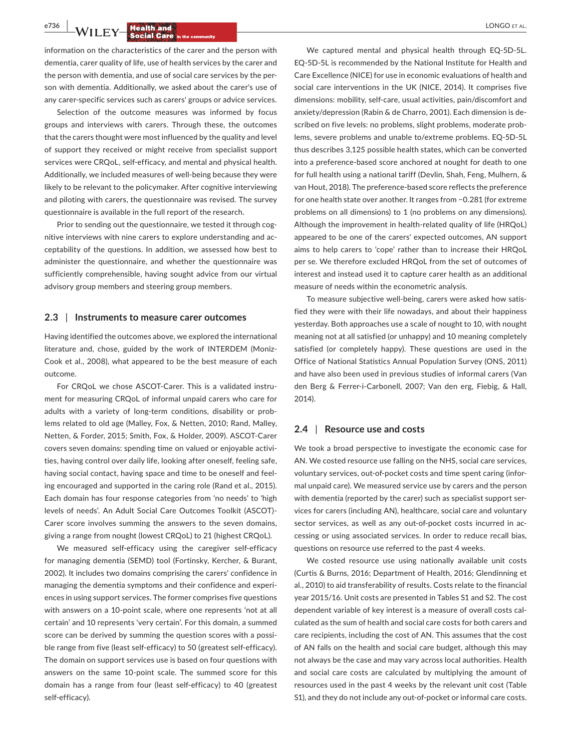**e<sup>736</sup> | <b>LA**/LLEN/ **Health and by the company of all the company of all the company of all the company of all the company of all the company of all the company of all the company of all the company of all the company o** 

information on the characteristics of the carer and the person with dementia, carer quality of life, use of health services by the carer and the person with dementia, and use of social care services by the per‐ son with dementia. Additionally, we asked about the carer's use of any carer‐specific services such as carers' groups or advice services.

Selection of the outcome measures was informed by focus groups and interviews with carers. Through these, the outcomes that the carers thought were most influenced by the quality and level of support they received or might receive from specialist support services were CRQoL, self-efficacy, and mental and physical health. Additionally, we included measures of well‐being because they were likely to be relevant to the policymaker. After cognitive interviewing and piloting with carers, the questionnaire was revised. The survey questionnaire is available in the full report of the research.

Prior to sending out the questionnaire, we tested it through cognitive interviews with nine carers to explore understanding and ac‐ ceptability of the questions. In addition, we assessed how best to administer the questionnaire, and whether the questionnaire was sufficiently comprehensible, having sought advice from our virtual advisory group members and steering group members.

#### **2.3** | **Instruments to measure carer outcomes**

Having identified the outcomes above, we explored the international literature and, chose, guided by the work of INTERDEM (Moniz‐ Cook et al., 2008), what appeared to be the best measure of each outcome.

For CRQoL we chose ASCOT-Carer. This is a validated instrument for measuring CRQoL of informal unpaid carers who care for adults with a variety of long-term conditions, disability or problems related to old age (Malley, Fox, & Netten, 2010; Rand, Malley, Netten, & Forder, 2015; Smith, Fox, & Holder, 2009). ASCOT‐Carer covers seven domains: spending time on valued or enjoyable activi‐ ties, having control over daily life, looking after oneself, feeling safe, having social contact, having space and time to be oneself and feel‐ ing encouraged and supported in the caring role (Rand et al., 2015). Each domain has four response categories from 'no needs' to 'high levels of needs'. An Adult Social Care Outcomes Toolkit (ASCOT)‐ Carer score involves summing the answers to the seven domains, giving a range from nought (lowest CRQoL) to 21 (highest CRQoL).

We measured self-efficacy using the caregiver self-efficacy for managing dementia (SEMD) tool (Fortinsky, Kercher, & Burant, 2002). It includes two domains comprising the carers' confidence in managing the dementia symptoms and their confidence and experi‐ ences in using support services. The former comprises five questions with answers on a 10‐point scale, where one represents 'not at all certain' and 10 represents 'very certain'. For this domain, a summed score can be derived by summing the question scores with a possible range from five (least self‐efficacy) to 50 (greatest self‐efficacy). The domain on support services use is based on four questions with answers on the same 10‐point scale. The summed score for this domain has a range from four (least self‐efficacy) to 40 (greatest self‐efficacy).

We captured mental and physical health through EQ-5D-5L. EQ‐5D‐5L is recommended by the National Institute for Health and Care Excellence (NICE) for use in economic evaluations of health and social care interventions in the UK (NICE, 2014). It comprises five dimensions: mobility, self‐care, usual activities, pain/discomfort and anxiety/depression (Rabin & de Charro, 2001). Each dimension is de‐ scribed on five levels: no problems, slight problems, moderate prob‐ lems, severe problems and unable to/extreme problems. EQ‐5D‐5L thus describes 3,125 possible health states, which can be converted into a preference‐based score anchored at nought for death to one for full health using a national tariff (Devlin, Shah, Feng, Mulhern, & van Hout, 2018). The preference‐based score reflects the preference for one health state over another. It ranges from −0.281 (for extreme problems on all dimensions) to 1 (no problems on any dimensions). Although the improvement in health‐related quality of life (HRQoL) appeared to be one of the carers' expected outcomes, AN support aims to help carers to 'cope' rather than to increase their HRQoL per se. We therefore excluded HRQoL from the set of outcomes of interest and instead used it to capture carer health as an additional measure of needs within the econometric analysis.

To measure subjective well‐being, carers were asked how satis‐ fied they were with their life nowadays, and about their happiness yesterday. Both approaches use a scale of nought to 10, with nought meaning not at all satisfied (or unhappy) and 10 meaning completely satisfied (or completely happy). These questions are used in the Office of National Statistics Annual Population Survey (ONS, 2011) and have also been used in previous studies of informal carers (Van den Berg & Ferrer‐i‐Carbonell, 2007; Van den erg, Fiebig, & Hall, 2014).

#### **2.4** | **Resource use and costs**

We took a broad perspective to investigate the economic case for AN. We costed resource use falling on the NHS, social care services, voluntary services, out‐of‐pocket costs and time spent caring (infor‐ mal unpaid care). We measured service use by carers and the person with dementia (reported by the carer) such as specialist support services for carers (including AN), healthcare, social care and voluntary sector services, as well as any out-of-pocket costs incurred in accessing or using associated services. In order to reduce recall bias, questions on resource use referred to the past 4 weeks.

We costed resource use using nationally available unit costs (Curtis & Burns, 2016; Department of Health, 2016; Glendinning et al., 2010) to aid transferability of results. Costs relate to the financial year 2015/16. Unit costs are presented in Tables S1 and S2. The cost dependent variable of key interest is a measure of overall costs cal‐ culated as the sum of health and social care costs for both carers and care recipients, including the cost of AN. This assumes that the cost of AN falls on the health and social care budget, although this may not always be the case and may vary across local authorities. Health and social care costs are calculated by multiplying the amount of resources used in the past 4 weeks by the relevant unit cost (Table S1), and they do not include any out-of-pocket or informal care costs.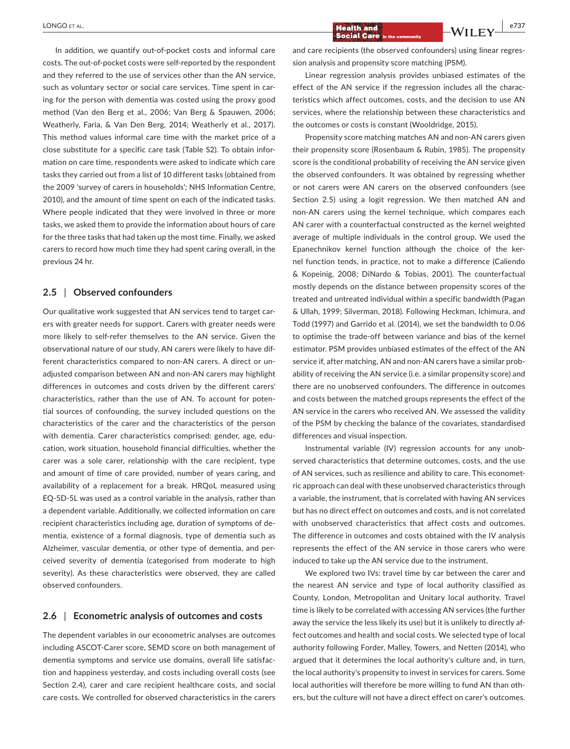In addition, we quantify out‐of‐pocket costs and informal care costs. The out‐of‐pocket costs were self‐reported by the respondent and they referred to the use of services other than the AN service, such as voluntary sector or social care services. Time spent in caring for the person with dementia was costed using the proxy good method (Van den Berg et al., 2006; Van Berg & Spauwen, 2006; Weatherly, Faria, & Van Den Berg, 2014; Weatherly et al., 2017). This method values informal care time with the market price of a close substitute for a specific care task (Table S2). To obtain infor‐ mation on care time, respondents were asked to indicate which care tasks they carried out from a list of 10 different tasks (obtained from the 2009 'survey of carers in households'; NHS Information Centre, 2010), and the amount of time spent on each of the indicated tasks. Where people indicated that they were involved in three or more tasks, we asked them to provide the information about hours of care for the three tasks that had taken up the most time. Finally, we asked carers to record how much time they had spent caring overall, in the previous 24 hr.

#### **2.5** | **Observed confounders**

Our qualitative work suggested that AN services tend to target car‐ ers with greater needs for support. Carers with greater needs were more likely to self‐refer themselves to the AN service. Given the observational nature of our study, AN carers were likely to have dif‐ ferent characteristics compared to non‐AN carers. A direct or un‐ adjusted comparison between AN and non‐AN carers may highlight differences in outcomes and costs driven by the different carers' characteristics, rather than the use of AN. To account for poten‐ tial sources of confounding, the survey included questions on the characteristics of the carer and the characteristics of the person with dementia. Carer characteristics comprised: gender, age, education, work situation, household financial difficulties, whether the carer was a sole carer, relationship with the care recipient, type and amount of time of care provided, number of years caring, and availability of a replacement for a break. HRQoL measured using EQ‐5D‐5L was used as a control variable in the analysis, rather than a dependent variable. Additionally, we collected information on care recipient characteristics including age, duration of symptoms of de‐ mentia, existence of a formal diagnosis, type of dementia such as Alzheimer, vascular dementia, or other type of dementia, and per‐ ceived severity of dementia (categorised from moderate to high severity). As these characteristics were observed, they are called observed confounders.

#### **2.6** | **Econometric analysis of outcomes and costs**

The dependent variables in our econometric analyses are outcomes including ASCOT‐Carer score, SEMD score on both management of dementia symptoms and service use domains, overall life satisfac‐ tion and happiness yesterday, and costs including overall costs (see Section 2.4), carer and care recipient healthcare costs, and social care costs. We controlled for observed characteristics in the carers

and care recipients (the observed confounders) using linear regression analysis and propensity score matching (PSM).

Linear regression analysis provides unbiased estimates of the effect of the AN service if the regression includes all the charac‐ teristics which affect outcomes, costs, and the decision to use AN services, where the relationship between these characteristics and the outcomes or costs is constant (Wooldridge, 2015).

Propensity score matching matches AN and non‐AN carers given their propensity score (Rosenbaum & Rubin, 1985). The propensity score is the conditional probability of receiving the AN service given the observed confounders. It was obtained by regressing whether or not carers were AN carers on the observed confounders (see Section 2.5) using a logit regression. We then matched AN and non‐AN carers using the kernel technique, which compares each AN carer with a counterfactual constructed as the kernel weighted average of multiple individuals in the control group. We used the Epanechnikov kernel function although the choice of the ker‐ nel function tends, in practice, not to make a difference (Caliendo & Kopeinig, 2008; DiNardo & Tobias, 2001). The counterfactual mostly depends on the distance between propensity scores of the treated and untreated individual within a specific bandwidth (Pagan & Ullah, 1999; Silverman, 2018). Following Heckman, Ichimura, and Todd (1997) and Garrido et al. (2014), we set the bandwidth to 0.06 to optimise the trade‐off between variance and bias of the kernel estimator. PSM provides unbiased estimates of the effect of the AN service if, after matching, AN and non-AN carers have a similar probability of receiving the AN service (i.e. a similar propensity score) and there are no unobserved confounders. The difference in outcomes and costs between the matched groups represents the effect of the AN service in the carers who received AN. We assessed the validity of the PSM by checking the balance of the covariates, standardised differences and visual inspection.

Instrumental variable (IV) regression accounts for any unobserved characteristics that determine outcomes, costs, and the use of AN services, such as resilience and ability to care. This econometric approach can deal with these unobserved characteristics through a variable, the instrument, that is correlated with having AN services but has no direct effect on outcomes and costs, and is not correlated with unobserved characteristics that affect costs and outcomes. The difference in outcomes and costs obtained with the IV analysis represents the effect of the AN service in those carers who were induced to take up the AN service due to the instrument.

We explored two IVs: travel time by car between the carer and the nearest AN service and type of local authority classified as County, London, Metropolitan and Unitary local authority. Travel time is likely to be correlated with accessing AN services (the further away the service the less likely its use) but it is unlikely to directly af‐ fect outcomes and health and social costs. We selected type of local authority following Forder, Malley, Towers, and Netten (2014), who argued that it determines the local authority's culture and, in turn, the local authority's propensity to invest in services for carers. Some local authorities will therefore be more willing to fund AN than oth‐ ers, but the culture will not have a direct effect on carer's outcomes.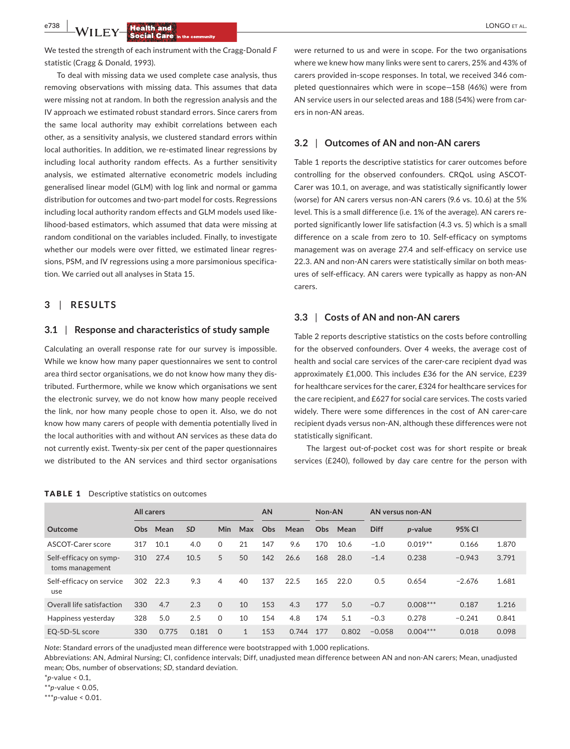**e<sup>738</sup> | <b>LA**/LLEN/ **Health and by the company of all the company of all the company of all the company of all the company of all the company of all the company of all the company of all the company of all the company o** 

We tested the strength of each instrument with the Cragg‐Donald *F* statistic (Cragg & Donald, 1993).

To deal with missing data we used complete case analysis, thus removing observations with missing data. This assumes that data were missing not at random. In both the regression analysis and the IV approach we estimated robust standard errors. Since carers from the same local authority may exhibit correlations between each other, as a sensitivity analysis, we clustered standard errors within local authorities. In addition, we re‐estimated linear regressions by including local authority random effects. As a further sensitivity analysis, we estimated alternative econometric models including generalised linear model (GLM) with log link and normal or gamma distribution for outcomes and two-part model for costs. Regressions including local authority random effects and GLM models used like‐ lihood‐based estimators, which assumed that data were missing at random conditional on the variables included. Finally, to investigate whether our models were over fitted, we estimated linear regressions, PSM, and IV regressions using a more parsimonious specifica‐ tion. We carried out all analyses in Stata 15.

## **3** | **RESULTS**

#### **3.1** | **Response and characteristics of study sample**

Calculating an overall response rate for our survey is impossible. While we know how many paper questionnaires we sent to control area third sector organisations, we do not know how many they dis‐ tributed. Furthermore, while we know which organisations we sent the electronic survey, we do not know how many people received the link, nor how many people chose to open it. Also, we do not know how many carers of people with dementia potentially lived in the local authorities with and without AN services as these data do not currently exist. Twenty‐six per cent of the paper questionnaires we distributed to the AN services and third sector organisations

were returned to us and were in scope. For the two organisations where we knew how many links were sent to carers, 25% and 43% of carers provided in‐scope responses. In total, we received 346 com‐ pleted questionnaires which were in scope—158 (46%) were from AN service users in our selected areas and 188 (54%) were from carers in non‐AN areas.

#### **3.2** | **Outcomes of AN and non‐AN carers**

Table 1 reports the descriptive statistics for carer outcomes before controlling for the observed confounders. CRQoL using ASCOT‐ Carer was 10.1, on average, and was statistically significantly lower (worse) for AN carers versus non‐AN carers (9.6 vs. 10.6) at the 5% level. This is a small difference (i.e. 1% of the average). AN carers re‐ ported significantly lower life satisfaction (4.3 vs. 5) which is a small difference on a scale from zero to 10. Self‐efficacy on symptoms management was on average 27.4 and self‐efficacy on service use 22.3. AN and non‐AN carers were statistically similar on both meas‐ ures of self‐efficacy. AN carers were typically as happy as non‐AN carers.

#### **3.3** | **Costs of AN and non‐AN carers**

Table 2 reports descriptive statistics on the costs before controlling for the observed confounders. Over 4 weeks, the average cost of health and social care services of the carer-care recipient dyad was approximately £1,000. This includes £36 for the AN service, £239 for healthcare services for the carer, £324 for healthcare services for the care recipient, and £627 for social care services. The costs varied widely. There were some differences in the cost of AN carer-care recipient dyads versus non‐AN, although these differences were not statistically significant.

The largest out‐of‐pocket cost was for short respite or break services (£240), followed by day care centre for the person with

|                                           | <b>All carers</b> |       |           |              |              | AN  |       | Non-AN |       | AN versus non-AN |            |          |       |
|-------------------------------------------|-------------------|-------|-----------|--------------|--------------|-----|-------|--------|-------|------------------|------------|----------|-------|
| Outcome                                   | O <sub>bs</sub>   | Mean  | <b>SD</b> | Min          | Max          | Obs | Mean  | Obs.   | Mean  | <b>Diff</b>      | p-value    | 95% CI   |       |
| ASCOT-Carer score                         | 317               | 10.1  | 4.0       | $\mathbf{0}$ | 21           | 147 | 9.6   | 170    | 10.6  | $-1.0$           | $0.019**$  | 0.166    | 1.870 |
| Self-efficacy on symp-<br>toms management | 310               | 27.4  | 10.5      | 5            | 50           | 142 | 26.6  | 168    | 28.0  | $-1.4$           | 0.238      | $-0.943$ | 3.791 |
| Self-efficacy on service<br>use           | 302               | 22.3  | 9.3       | 4            | 40           | 137 | 22.5  | 165    | 22.0  | 0.5              | 0.654      | $-2.676$ | 1.681 |
| Overall life satisfaction                 | 330               | 4.7   | 2.3       | $\Omega$     | 10           | 153 | 4.3   | 177    | 5.0   | $-0.7$           | $0.008***$ | 0.187    | 1.216 |
| Happiness yesterday                       | 328               | 5.0   | 2.5       | $\mathbf{0}$ | 10           | 154 | 4.8   | 174    | 5.1   | $-0.3$           | 0.278      | $-0.241$ | 0.841 |
| EO-5D-5L score                            | 330               | 0.775 | 0.181     | $\Omega$     | $\mathbf{1}$ | 153 | 0.744 | 177    | 0.802 | $-0.058$         | $0.004***$ | 0.018    | 0.098 |

#### TABLE 1 Descriptive statistics on outcomes

*Note*: Standard errors of the unadjusted mean difference were bootstrapped with 1,000 replications.

Abbreviations: AN, Admiral Nursing; CI, confidence intervals; Diff, unadjusted mean difference between AN and non‐AN carers; Mean, unadjusted mean; Obs, number of observations; *SD*, standard deviation.

\**p*‐value < 0.1,

\*\**p*‐value < 0.05,

\*\*\**p*‐value < 0.01.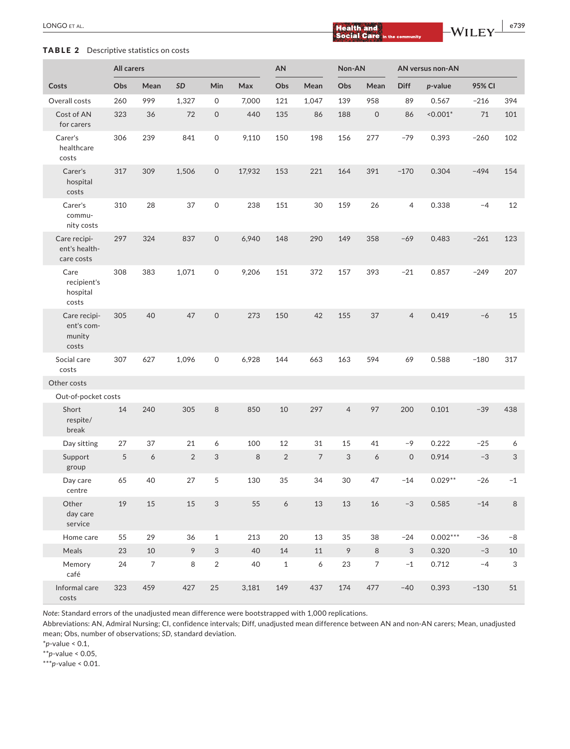# **|** LONGO et al. **e739**

## TABLE 2 Descriptive statistics on costs

|                                               |     | All carers       |                |                           |        |            |                | Non-AN         |                     | AN versus non-AN          |            |        |                           |  |
|-----------------------------------------------|-----|------------------|----------------|---------------------------|--------|------------|----------------|----------------|---------------------|---------------------------|------------|--------|---------------------------|--|
| Costs                                         | Obs | Mean             | SD             | Min                       | Max    | Obs        | Mean           | Obs            | Mean                | Diff                      | p-value    | 95% CI |                           |  |
| Overall costs                                 | 260 | 999              | 1,327          | 0                         | 7,000  | 121        | 1,047          | 139            | 958                 | 89                        | 0.567      | $-216$ | 394                       |  |
| Cost of AN<br>for carers                      | 323 | 36               | 72             | $\mathsf{O}\xspace$       | 440    | 135        | 86             | 188            | $\mathsf{O}\xspace$ | 86                        | $< 0.001*$ | 71     | 101                       |  |
| Carer's<br>healthcare<br>costs                | 306 | 239              | 841            | $\mathsf O$               | 9,110  | 150        | 198            | 156            | 277                 | $-79$                     | 0.393      | $-260$ | 102                       |  |
| Carer's<br>hospital<br>costs                  | 317 | 309              | 1,506          | $\mathsf{O}$              | 17,932 | 153        | 221            | 164            | 391                 | $-170$                    | 0.304      | $-494$ | 154                       |  |
| Carer's<br>commu-<br>nity costs               | 310 | 28               | 37             | 0                         | 238    | 151        | 30             | 159            | 26                  | 4                         | 0.338      | $-4$   | 12                        |  |
| Care recipi-<br>ent's health-<br>care costs   | 297 | 324              | 837            | $\mathsf{O}\xspace$       | 6,940  | 148        | 290            | 149            | 358                 | $-69$                     | 0.483      | $-261$ | 123                       |  |
| Care<br>recipient's<br>hospital<br>costs      | 308 | 383              | 1,071          | $\mathsf O$               | 9,206  | 151        | 372            | 157            | 393                 | $-21$                     | 0.857      | $-249$ | 207                       |  |
| Care recipi-<br>ent's com-<br>munity<br>costs | 305 | 40               | 47             | $\mathsf{O}\xspace$       | 273    | 150        | 42             | 155            | 37                  | $\overline{4}$            | 0.419      | $-6$   | 15                        |  |
| Social care<br>costs                          | 307 | 627              | 1,096          | 0                         | 6,928  | 144        | 663            | 163            | 594                 | 69                        | 0.588      | $-180$ | 317                       |  |
| Other costs                                   |     |                  |                |                           |        |            |                |                |                     |                           |            |        |                           |  |
| Out-of-pocket costs                           |     |                  |                |                           |        |            |                |                |                     |                           |            |        |                           |  |
| Short<br>respite/<br>break                    | 14  | 240              | 305            | 8                         | 850    | 10         | 297            | $\overline{4}$ | 97                  | 200                       | 0.101      | $-39$  | 438                       |  |
| Day sitting                                   | 27  | 37               | 21             | 6                         | 100    | 12         | 31             | 15             | 41                  | -9                        | 0.222      | $-25$  | 6                         |  |
| Support<br>group                              | 5   | $\boldsymbol{6}$ | $\overline{2}$ | $\sqrt{3}$                | 8      | $\sqrt{2}$ | $\overline{7}$ | 3              | 6                   | $\mathsf{O}$              | 0.914      | $-3$   | 3                         |  |
| Day care<br>centre                            | 65  | 40               | 27             | 5                         | 130    | 35         | 34             | 30             | 47                  | $-14$                     | $0.029**$  | $-26$  | $-1$                      |  |
| Other<br>day care<br>service                  | 19  | $15\,$           | 15             | $\ensuremath{\mathsf{3}}$ | 55     | 6          | 13             | 13             | 16                  | $-3$                      | 0.585      | $-14$  | $\,8\,$                   |  |
| Home care                                     | 55  | 29               | 36             | $\mathbf{1}$              | 213    | 20         | 13             | 35             | 38                  | $-24$                     | $0.002***$ | $-36$  | $-8$                      |  |
| Meals                                         | 23  | $10\,$           | $\mathcal{P}$  | 3                         | 40     | $14\,$     | 11             | 9              | $\,8\,$             | $\ensuremath{\mathsf{3}}$ | 0.320      | $-3$   | 10                        |  |
| Memory<br>café                                | 24  | $\overline{7}$   | 8              | $\sqrt{2}$                | 40     | $\,1\,$    | 6              | 23             | $\overline{7}$      | $-1$                      | 0.712      | $-4$   | $\ensuremath{\mathsf{3}}$ |  |
| Informal care<br>costs                        | 323 | 459              | 427            | 25                        | 3,181  | 149        | 437            | 174            | 477                 | $-40$                     | 0.393      | $-130$ | 51                        |  |

*Note*: Standard errors of the unadjusted mean difference were bootstrapped with 1,000 replications.

Abbreviations: AN, Admiral Nursing; CI, confidence intervals; Diff, unadjusted mean difference between AN and non‐AN carers; Mean, unadjusted mean; Obs, number of observations; *SD*, standard deviation.

\**p*‐value < 0.1,

\*\**p*‐value < 0.05,

\*\*\**p*‐value < 0.01.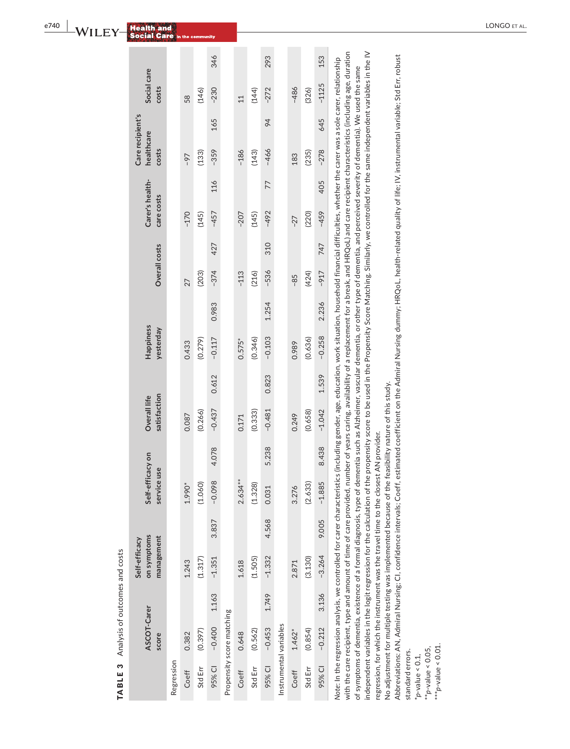| I<br>I<br>$\frac{1}{1}$ |
|-------------------------|
| ζ<br>S<br>¢<br>I        |
|                         |
| i<br>١                  |
| ١<br>١<br>ļ<br>¢<br>ļ   |
| t<br>ׇ֠                 |
|                         |
| c                       |
|                         |

|                                            |            |        |         | 346      |                           |                 |         | 293      |                        |          |         | 153      |                                                                                                                                                                                                                                                                                                                                                                                                                                 |
|--------------------------------------------|------------|--------|---------|----------|---------------------------|-----------------|---------|----------|------------------------|----------|---------|----------|---------------------------------------------------------------------------------------------------------------------------------------------------------------------------------------------------------------------------------------------------------------------------------------------------------------------------------------------------------------------------------------------------------------------------------|
| Social care<br>costs                       |            | 58     | (146)   | $-230$   |                           | $\overline{11}$ | (144)   | $-272$   |                        | $-486$   | (326)   | $-1125$  |                                                                                                                                                                                                                                                                                                                                                                                                                                 |
| Care recipient's                           |            |        |         | 165      |                           |                 |         | 94       |                        |          |         | 645      |                                                                                                                                                                                                                                                                                                                                                                                                                                 |
| healthcare<br>costs                        |            | -97    | (133)   | $-359$   |                           | $-186$          | (143)   | $-466$   |                        | 183      | (235)   | $-278$   |                                                                                                                                                                                                                                                                                                                                                                                                                                 |
| Carer's health-                            |            |        |         | 116      |                           |                 |         | 77       |                        |          |         | 405      |                                                                                                                                                                                                                                                                                                                                                                                                                                 |
| care costs                                 |            | $-170$ | (145)   | $-457$   |                           | $-207$          | (145)   | $-492$   |                        | $-27$    | (220)   | $-459$   |                                                                                                                                                                                                                                                                                                                                                                                                                                 |
| Overall costs                              |            |        |         | 427      |                           |                 |         | 310      |                        |          |         | 747      |                                                                                                                                                                                                                                                                                                                                                                                                                                 |
|                                            |            | 27     | (203)   | $-374$   |                           | $-113$          | (216)   | $-536$   |                        | $-85$    | (424)   | $-917$   |                                                                                                                                                                                                                                                                                                                                                                                                                                 |
|                                            |            |        |         | 0.983    |                           |                 |         | 1.254    |                        |          |         | 2.236    |                                                                                                                                                                                                                                                                                                                                                                                                                                 |
| Happiness<br>yesterday                     |            | 0.433  | (0.279) | $-0.117$ |                           | $0.575*$        | (0.346) | $-0.103$ |                        | 0.989    | (0.636) | $-0.258$ |                                                                                                                                                                                                                                                                                                                                                                                                                                 |
|                                            |            |        |         | 0.612    |                           |                 |         | 0.823    |                        |          |         | 1.539    |                                                                                                                                                                                                                                                                                                                                                                                                                                 |
| satisfaction<br>Overall life               |            | 0.087  | (0.266) | $-0.437$ |                           | 0.171           | (0.333) | $-0.481$ |                        | 0.249    | (0.658) | $-1.042$ |                                                                                                                                                                                                                                                                                                                                                                                                                                 |
|                                            |            |        |         | 4.078    |                           |                 |         | 5.238    |                        |          |         | 8.438    |                                                                                                                                                                                                                                                                                                                                                                                                                                 |
| Self-efficacy on<br>service use            |            | 1.990* | (1.060) | $-0.098$ |                           | 2.634**         | (1.328) | 0.031    |                        | 3.276    | (2.633) | $-1.885$ |                                                                                                                                                                                                                                                                                                                                                                                                                                 |
|                                            |            |        |         | 3.837    |                           |                 |         | 4.568    |                        |          |         | 9.005    |                                                                                                                                                                                                                                                                                                                                                                                                                                 |
| on symptoms<br>management<br>Self-efficacy |            | 1.243  | (1.317) | $-1.351$ |                           | 1.618           | (1.505) | $-1.332$ |                        | 2.871    | (3.130) | $-3.264$ |                                                                                                                                                                                                                                                                                                                                                                                                                                 |
|                                            |            |        |         | 1.163    |                           |                 |         | 1.749    |                        |          |         | 3.136    |                                                                                                                                                                                                                                                                                                                                                                                                                                 |
| ASCOT-Carer<br>score                       |            | 0.382  | (0.397) | $-0.400$ |                           | 0.648           | (0.562) | $-0.453$ |                        | $1.462*$ | (0.854) | $-0.212$ |                                                                                                                                                                                                                                                                                                                                                                                                                                 |
|                                            | Regression | Coeff  | Std Err | 95% CI   | Propensity score matching | Coeff           | Std Err | 95% CI   | Instrumental variables | Coeff    | Std Err | 95% CI   | with the care recipient, type and amount of time of care provided, number of years caring, availability of a replacement for a break, and HRQoL) and care recipient characteristics (including age, duration<br>Note: In the regression analysis, we controlled for carer characteristics (including gender, age, education, work situation, household financial difficulties, whether the carer was a sole carer, relationship |

of symptoms of dementia, existence of a formal diagnosis, type of dementia such as Alzheimer, vascular dementia, or other type of dementia, and perceived severity of dementia). We used the same independent variables in the logit regression for the calculation of the propensity score to be used in the Propensity Score Matching. Similarly, we controlled for the same independent variables in the IV

of symptoms of dementia, existence of a formal diagnosis, type of dementia such as Alzheimer, vascular dementia, or other type of dementia, and perceived severity of dementia). We used the same

independent variables in the logit regression for the calculation of the propensity score to be used in the Propensity Score Matching. Similarly, we controlled for the same independent variables in the IV

Abbreviations: AN, Admiral Nursing; CI, confidence intervals; Coeff, estimated coefficient on the Admiral Nursing dummy; HRQoL, health‐related quality of life; IV, instrumental variable; Std Err, robust

Abbreviations: AN, Admiral Nursing; CI, confidence intervals; Coeff, estimated coefficient on the Admiral Nursing dummy; HRQoL, health-related quality of life; IV, instrumental variable; Std Err, robust

regression, for which the instrument was the travel time to the closest AN provider.

regression, for which the instrument was the travel time to the closest AN provider.

No adjustment for multiple testing was implemented because of the feasibility nature of this study.

No adjustment for multiple testing was implemented because of the feasibility nature of this study.

standard errors. \**p*‐value < 0.1, \*\**p*‐value < 0.05, \*\*\**p*‐value < 0.01.

standard errors.  $p$ -value < 0.1,

\*\*\* $p$ -value < 0.01. \*\*p-value < 0.05,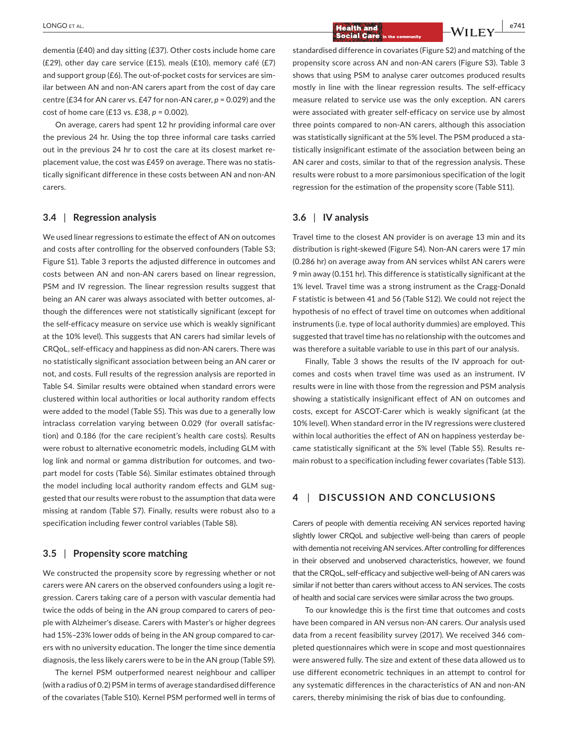dementia (£40) and day sitting (£37). Other costs include home care (£29), other day care service (£15), meals (£10), memory café (£7) and support group (£6). The out-of-pocket costs for services are similar between AN and non‐AN carers apart from the cost of day care centre (£34 for AN carer vs. £47 for non‐AN carer, *p* = 0.029) and the cost of home care (£13 vs. £38, *p* = 0.002).

On average, carers had spent 12 hr providing informal care over the previous 24 hr. Using the top three informal care tasks carried out in the previous 24 hr to cost the care at its closest market re‐ placement value, the cost was £459 on average. There was no statis‐ tically significant difference in these costs between AN and non‐AN carers.

#### **3.4** | **Regression analysis**

We used linear regressions to estimate the effect of AN on outcomes and costs after controlling for the observed confounders (Table S3; Figure S1). Table 3 reports the adjusted difference in outcomes and costs between AN and non‐AN carers based on linear regression, PSM and IV regression. The linear regression results suggest that being an AN carer was always associated with better outcomes, al‐ though the differences were not statistically significant (except for the self‐efficacy measure on service use which is weakly significant at the 10% level). This suggests that AN carers had similar levels of CRQoL, self‐efficacy and happiness as did non‐AN carers. There was no statistically significant association between being an AN carer or not, and costs. Full results of the regression analysis are reported in Table S4. Similar results were obtained when standard errors were clustered within local authorities or local authority random effects were added to the model (Table S5). This was due to a generally low intraclass correlation varying between 0.029 (for overall satisfaction) and 0.186 (for the care recipient's health care costs). Results were robust to alternative econometric models, including GLM with log link and normal or gamma distribution for outcomes, and two‐ part model for costs (Table S6). Similar estimates obtained through the model including local authority random effects and GLM suggested that our results were robust to the assumption that data were missing at random (Table S7). Finally, results were robust also to a specification including fewer control variables (Table S8).

#### **3.5** | **Propensity score matching**

We constructed the propensity score by regressing whether or not carers were AN carers on the observed confounders using a logit re‐ gression. Carers taking care of a person with vascular dementia had twice the odds of being in the AN group compared to carers of peo‐ ple with Alzheimer's disease. Carers with Master's or higher degrees had 15%-23% lower odds of being in the AN group compared to carers with no university education. The longer the time since dementia diagnosis, the less likely carers were to be in the AN group (Table S9).

The kernel PSM outperformed nearest neighbour and calliper (with a radius of 0.2) PSM in terms of average standardised difference of the covariates (Table S10). Kernel PSM performed well in terms of

 **|** LONGO et al. **e741**

standardised difference in covariates (Figure S2) and matching of the propensity score across AN and non‐AN carers (Figure S3). Table 3 shows that using PSM to analyse carer outcomes produced results mostly in line with the linear regression results. The self‐efficacy measure related to service use was the only exception. AN carers were associated with greater self-efficacy on service use by almost three points compared to non‐AN carers, although this association was statistically significant at the 5% level. The PSM produced a statistically insignificant estimate of the association between being an AN carer and costs, similar to that of the regression analysis. These results were robust to a more parsimonious specification of the logit regression for the estimation of the propensity score (Table S11).

#### **3.6** | **IV analysis**

Travel time to the closest AN provider is on average 13 min and its distribution is right‐skewed (Figure S4). Non‐AN carers were 17 min (0.286 hr) on average away from AN services whilst AN carers were 9 min away (0.151 hr). This difference is statistically significant at the 1% level. Travel time was a strong instrument as the Cragg‐Donald *F* statistic is between 41 and 56 (Table S12). We could not reject the hypothesis of no effect of travel time on outcomes when additional instruments (i.e. type of local authority dummies) are employed. This suggested that travel time has no relationship with the outcomes and was therefore a suitable variable to use in this part of our analysis.

Finally, Table 3 shows the results of the IV approach for out‐ comes and costs when travel time was used as an instrument. IV results were in line with those from the regression and PSM analysis showing a statistically insignificant effect of AN on outcomes and costs, except for ASCOT‐Carer which is weakly significant (at the 10% level). When standard error in the IV regressions were clustered within local authorities the effect of AN on happiness yesterday be‐ came statistically significant at the 5% level (Table S5). Results re‐ main robust to a specification including fewer covariates (Table S13).

### **4** | **DISCUSSION AND CONCLUSIONS**

Carers of people with dementia receiving AN services reported having slightly lower CRQoL and subjective well‐being than carers of people with dementia not receiving AN services. After controlling for differences in their observed and unobserved characteristics, however, we found that the CRQoL, self‐efficacy and subjective well‐being of AN carers was similar if not better than carers without access to AN services. The costs of health and social care services were similar across the two groups.

To our knowledge this is the first time that outcomes and costs have been compared in AN versus non‐AN carers. Our analysis used data from a recent feasibility survey (2017). We received 346 completed questionnaires which were in scope and most questionnaires were answered fully. The size and extent of these data allowed us to use different econometric techniques in an attempt to control for any systematic differences in the characteristics of AN and non‐AN carers, thereby minimising the risk of bias due to confounding.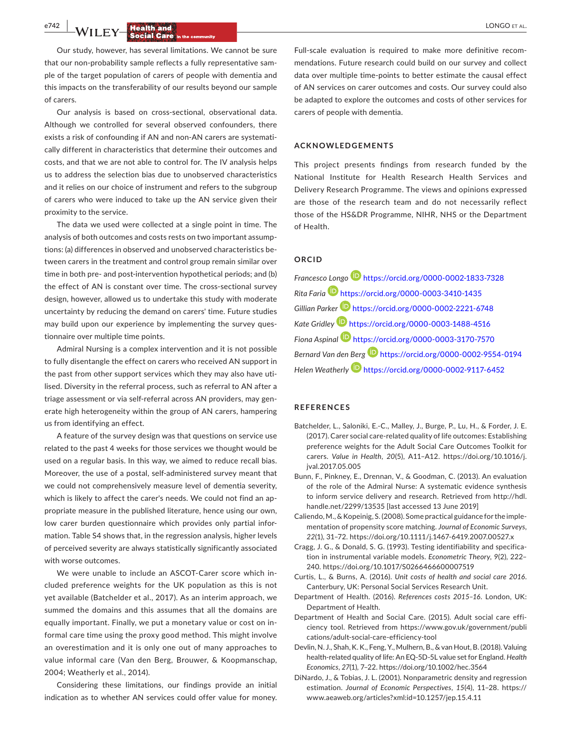**e<sup>742</sup> | <b>A**/II FX/ **Health and by a strategies of all the strategies of all the strategies of all the strategies of all the strategies of all the strategies of all the strategies of all the strategies of all the strate** 

Our study, however, has several limitations. We cannot be sure that our non-probability sample reflects a fully representative sample of the target population of carers of people with dementia and this impacts on the transferability of our results beyond our sample of carers.

Our analysis is based on cross‐sectional, observational data. Although we controlled for several observed confounders, there exists a risk of confounding if AN and non‐AN carers are systemati‐ cally different in characteristics that determine their outcomes and costs, and that we are not able to control for. The IV analysis helps us to address the selection bias due to unobserved characteristics and it relies on our choice of instrument and refers to the subgroup of carers who were induced to take up the AN service given their proximity to the service.

The data we used were collected at a single point in time. The analysis of both outcomes and costs rests on two important assump‐ tions: (a) differences in observed and unobserved characteristics be‐ tween carers in the treatment and control group remain similar over time in both pre- and post-intervention hypothetical periods; and (b) the effect of AN is constant over time. The cross-sectional survey design, however, allowed us to undertake this study with moderate uncertainty by reducing the demand on carers' time. Future studies may build upon our experience by implementing the survey questionnaire over multiple time points.

Admiral Nursing is a complex intervention and it is not possible to fully disentangle the effect on carers who received AN support in the past from other support services which they may also have utilised. Diversity in the referral process, such as referral to AN after a triage assessment or via self‐referral across AN providers, may gen‐ erate high heterogeneity within the group of AN carers, hampering us from identifying an effect.

A feature of the survey design was that questions on service use related to the past 4 weeks for those services we thought would be used on a regular basis. In this way, we aimed to reduce recall bias. Moreover, the use of a postal, self‐administered survey meant that we could not comprehensively measure level of dementia severity, which is likely to affect the carer's needs. We could not find an appropriate measure in the published literature, hence using our own, low carer burden questionnaire which provides only partial information. Table S4 shows that, in the regression analysis, higher levels of perceived severity are always statistically significantly associated with worse outcomes.

We were unable to include an ASCOT‐Carer score which in‐ cluded preference weights for the UK population as this is not yet available (Batchelder et al., 2017). As an interim approach, we summed the domains and this assumes that all the domains are equally important. Finally, we put a monetary value or cost on in‐ formal care time using the proxy good method. This might involve an overestimation and it is only one out of many approaches to value informal care (Van den Berg, Brouwer, & Koopmanschap, 2004; Weatherly et al., 2014).

Considering these limitations, our findings provide an initial indication as to whether AN services could offer value for money.

Full-scale evaluation is required to make more definitive recommendations. Future research could build on our survey and collect data over multiple time‐points to better estimate the causal effect of AN services on carer outcomes and costs. Our survey could also be adapted to explore the outcomes and costs of other services for carers of people with dementia.

#### **ACKNOWLEDGEMENTS**

This project presents findings from research funded by the National Institute for Health Research Health Services and Delivery Research Programme. The views and opinions expressed are those of the research team and do not necessarily reflect those of the HS&DR Programme, NIHR, NHS or the Department of Health.

### **ORCID**

*Francesco Longo* <https://orcid.org/0000-0002-1833-7328> *Rita Faria* <https://orcid.org/0000-0003-3410-1435> *Gillian Parke[r](https://orcid.org/0000-0002-2221-6748)* <https://orcid.org/0000-0002-2221-6748> *Kate Gridle[y](https://orcid.org/0000-0003-1488-4516)* <https://orcid.org/0000-0003-1488-4516> *Fiona Aspinal* <https://orcid.org/0000-0003-3170-7570> *Bernard Van den Berg* <https://orcid.org/0000-0002-9554-0194> *Helen Weatherly* <https://orcid.org/0000-0002-9117-6452>

#### **REFERENCES**

- Batchelder, L., Saloniki, E.‐C., Malley, J., Burge, P., Lu, H., & Forder, J. E. (2017). Carer social care‐related quality of life outcomes: Establishing preference weights for the Adult Social Care Outcomes Toolkit for carers. *Value in Health*, *20*(5), A11–A12. [https://doi.org/10.1016/j.](https://doi.org/10.1016/j.jval.2017.05.005) [jval.2017.05.005](https://doi.org/10.1016/j.jval.2017.05.005)
- Bunn, F., Pinkney, E., Drennan, V., & Goodman, C. (2013). An evaluation of the role of the Admiral Nurse: A systematic evidence synthesis to inform service delivery and research. Retrieved from [http://hdl.](http://hdl.handle.net/2299/13535) [handle.net/2299/13535](http://hdl.handle.net/2299/13535) [last accessed 13 June 2019]
- Caliendo, M., & Kopeinig, S. (2008). Some practical guidance for the imple‐ mentation of propensity score matching. *Journal of Economic Surveys*, *22*(1), 31–72. <https://doi.org/10.1111/j.1467-6419.2007.00527.x>
- Cragg, J. G., & Donald, S. G. (1993). Testing identifiability and specifica‐ tion in instrumental variable models. *Econometric Theory*, *9*(2), 222– 240.<https://doi.org/10.1017/S0266466600007519>
- Curtis, L., & Burns, A. (2016). *Unit costs of health and social care 2016*. Canterbury, UK: Personal Social Services Research Unit.
- Department of Health. (2016). *References costs 2015–16*. London, UK: Department of Health.
- Department of Health and Social Care. (2015). Adult social care effi‐ ciency tool. Retrieved from [https://www.gov.uk/government/publi](https://www.gov.uk/government/publications/adult-social-care-efficiency-tool) [cations/adult-social-care-efficiency-tool](https://www.gov.uk/government/publications/adult-social-care-efficiency-tool)
- Devlin, N. J., Shah, K. K., Feng, Y., Mulhern, B., & van Hout, B. (2018). Valuing health‐related quality of life: An EQ‐5D‐5L value set for England. *Health Economics*, *27*(1), 7–22.<https://doi.org/10.1002/hec.3564>
- DiNardo, J., & Tobias, J. L. (2001). Nonparametric density and regression estimation. *Journal of Economic Perspectives*, *15*(4), 11–28. [https://](https://www.aeaweb.org/articles?xml:id=10.1257/jep.15.4.11) [www.aeaweb.org/articles?xml:id=10.1257/jep.15.4.11](https://www.aeaweb.org/articles?xml:id=10.1257/jep.15.4.11)